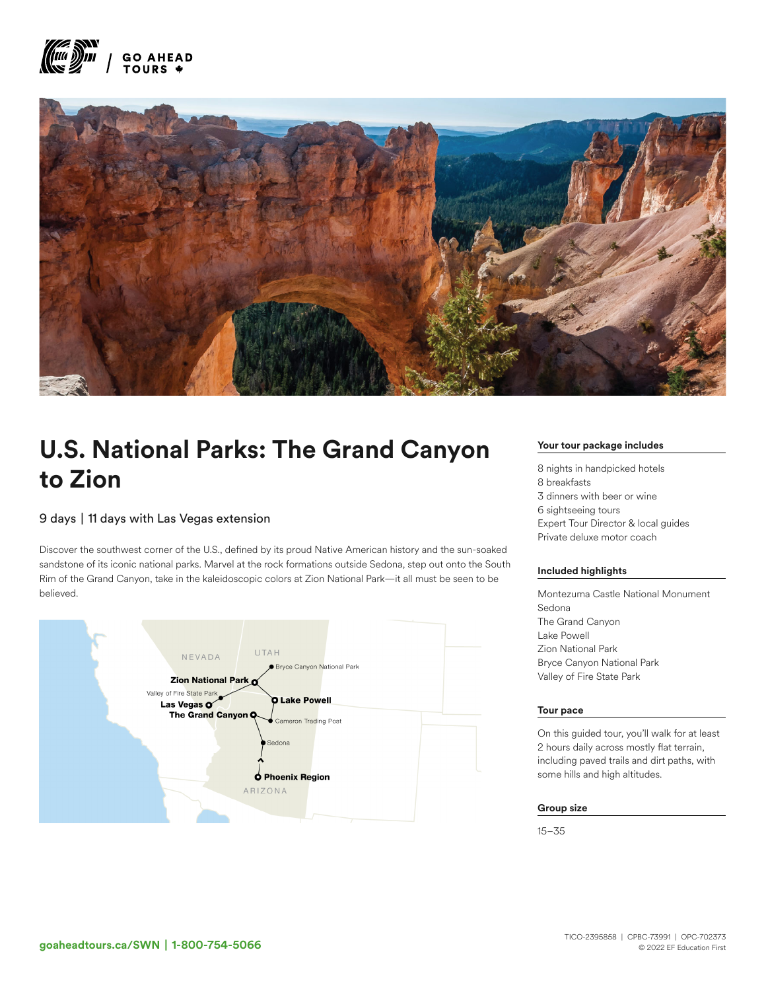



# U.S. National Parks: The Grand Canyon to Zion

## 9 days | 11 days with Las Vegas extension

Discover the southwest corner of the U.S., defined by its proud Native American history and the sun-soaked sandstone of its iconic national parks. Marvel at the rock formations outside Sedona, step out onto the South Rim of the Grand Canyon, take in the kaleidoscopic colors at Zion National Park—it all must be seen to be believed.



#### Your tour package includes

8 nights in handpicked hotels 8 breakfasts 3 dinners with beer or wine 6 sightseeing tours Expert Tour Director & local guides Private deluxe motor coach

#### Included highlights

Montezuma Castle National Monument Sedona The Grand Canyon Lake Powell Zion National Park Bryce Canyon National Park Valley of Fire State Park

#### Tour pace

On this guided tour, you'll walk for at least 2 hours daily across mostly flat terrain, including paved trails and dirt paths, with some hills and high altitudes.

#### Group size

15–35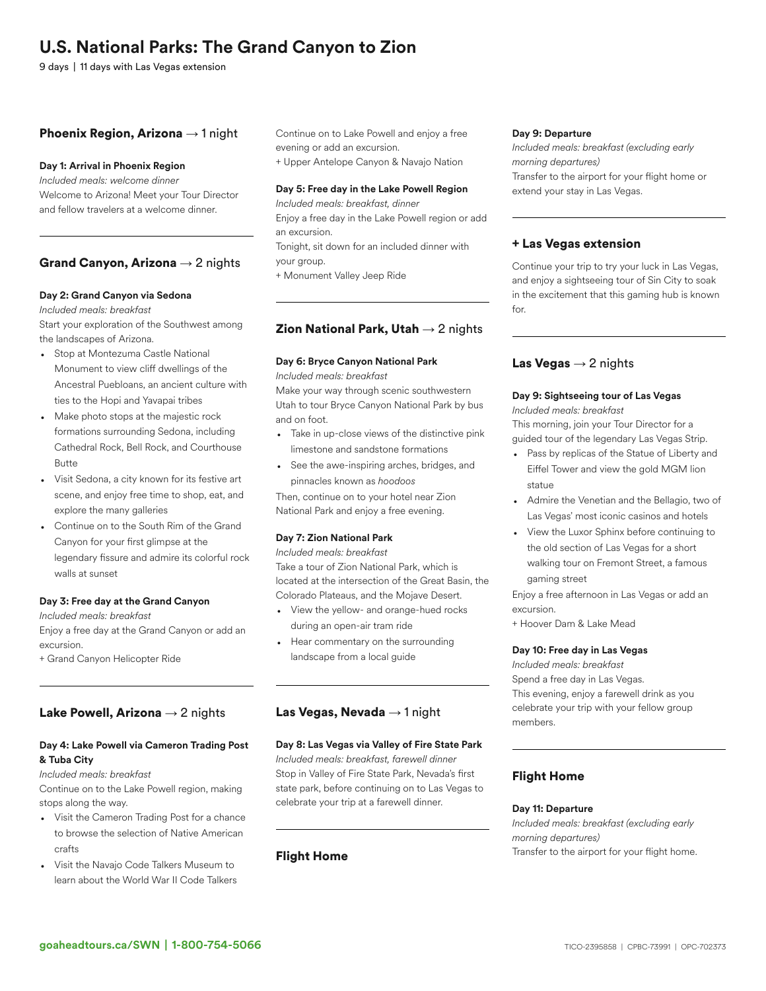## U.S. National Parks: The Grand Canyon to Zion

9 days | 11 days with Las Vegas extension

## **Phoenix Region, Arizona**  $\rightarrow$  1 night

## Day 1: Arrival in Phoenix Region

*Included meals: welcome dinner* Welcome to Arizona! Meet your Tour Director and fellow travelers at a welcome dinner.

## Grand Canyon, Arizona  $\rightarrow$  2 nights

### Day 2: Grand Canyon via Sedona

*Included meals: breakfast* Start your exploration of the Southwest among the landscapes of Arizona.

- Stop at Montezuma Castle National Monument to view cliff dwellings of the Ancestral Puebloans, an ancient culture with ties to the Hopi and Yavapai tribes
- Make photo stops at the majestic rock formations surrounding Sedona, including Cathedral Rock, Bell Rock, and Courthouse Butte
- Visit Sedona, a city known for its festive art scene, and enjoy free time to shop, eat, and explore the many galleries
- Continue on to the South Rim of the Grand Canyon for your first glimpse at the legendary fissure and admire its colorful rock walls at sunset

#### Day 3: Free day at the Grand Canyon

*Included meals: breakfast*

Enjoy a free day at the Grand Canyon or add an excursion.

+ Grand Canyon Helicopter Ride

## Lake Powell, Arizona  $\rightarrow$  2 nights

## Day 4: Lake Powell via Cameron Trading Post & Tuba City

#### *Included meals: breakfast*

Continue on to the Lake Powell region, making stops along the way.

- Visit the Cameron Trading Post for a chance to browse the selection of Native American crafts
- Visit the Navajo Code Talkers Museum to learn about the World War II Code Talkers

Continue on to Lake Powell and enjoy a free evening or add an excursion.

+ Upper Antelope Canyon & Navajo Nation

### Day 5: Free day in the Lake Powell Region

*Included meals: breakfast, dinner* Enjoy a free day in the Lake Powell region or add an excursion. Tonight, sit down for an included dinner with

your group.

+ Monument Valley Jeep Ride

## **Zion National Park, Utah**  $\rightarrow$  2 nights

## Day 6: Bryce Canyon National Park

*Included meals: breakfast*

Make your way through scenic southwestern Utah to tour Bryce Canyon National Park by bus and on foot.

- Take in up-close views of the distinctive pink limestone and sandstone formations
- See the awe-inspiring arches, bridges, and pinnacles known as *hoodoos*

Then, continue on to your hotel near Zion National Park and enjoy a free evening.

## Day 7: Zion National Park

*Included meals: breakfast* Take a tour of Zion National Park, which is located at the intersection of the Great Basin, the Colorado Plateaus, and the Mojave Desert.

- View the yellow- and orange-hued rocks during an open-air tram ride
- Hear commentary on the surrounding landscape from a local guide

## Las Vegas, Nevada  $\rightarrow$  1 night

## Day 8: Las Vegas via Valley of Fire State Park

*Included meals: breakfast, farewell dinner* Stop in Valley of Fire State Park, Nevada's first state park, before continuing on to Las Vegas to celebrate your trip at a farewell dinner.

## Flight Home

### Day 9: Departure

*Included meals: breakfast (excluding early morning departures)* Transfer to the airport for your flight home or extend your stay in Las Vegas.

## + Las Vegas extension

Continue your trip to try your luck in Las Vegas, and enjoy a sightseeing tour of Sin City to soak in the excitement that this gaming hub is known for.

## Las Vegas  $\rightarrow$  2 nights

## Day 9: Sightseeing tour of Las Vegas

*Included meals: breakfast*

This morning, join your Tour Director for a guided tour of the legendary Las Vegas Strip.

- Pass by replicas of the Statue of Liberty and Eiffel Tower and view the gold MGM lion statue
- Admire the Venetian and the Bellagio, two of Las Vegas' most iconic casinos and hotels
- View the Luxor Sphinx before continuing to the old section of Las Vegas for a short walking tour on Fremont Street, a famous gaming street

Enjoy a free afternoon in Las Vegas or add an excursion.

+ Hoover Dam & Lake Mead

## Day 10: Free day in Las Vegas

*Included meals: breakfast* Spend a free day in Las Vegas. This evening, enjoy a farewell drink as you celebrate your trip with your fellow group members.

## Flight Home

#### Day 11: Departure

*Included meals: breakfast (excluding early morning departures)* Transfer to the airport for your flight home.